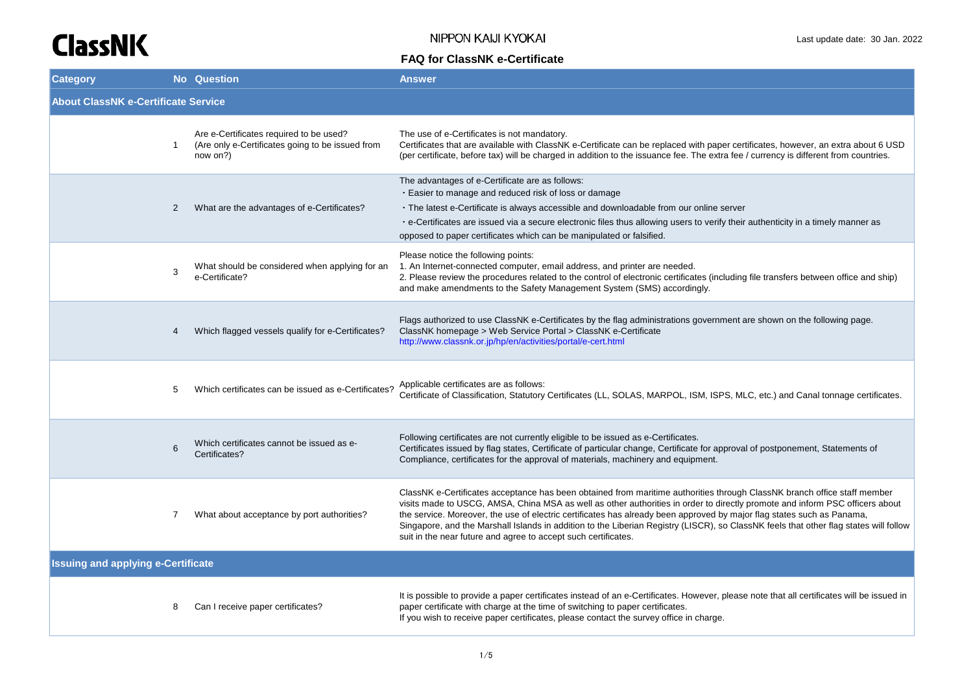| <b>Category</b>                            |                | <b>No</b> Question                                                                                      | <b>Answer</b>                                                                                                                                                                                                                                                                                                                                                                                                                                                                                                                                                                                 |
|--------------------------------------------|----------------|---------------------------------------------------------------------------------------------------------|-----------------------------------------------------------------------------------------------------------------------------------------------------------------------------------------------------------------------------------------------------------------------------------------------------------------------------------------------------------------------------------------------------------------------------------------------------------------------------------------------------------------------------------------------------------------------------------------------|
| <b>About ClassNK e-Certificate Service</b> |                |                                                                                                         |                                                                                                                                                                                                                                                                                                                                                                                                                                                                                                                                                                                               |
|                                            | $\mathbf{1}$   | Are e-Certificates required to be used?<br>(Are only e-Certificates going to be issued from<br>now on?) | The use of e-Certificates is not mandatory.<br>Certificates that are available with ClassNK e-Certificate can be replaced with paper certificates, however, an extra about 6 USD<br>(per certificate, before tax) will be charged in addition to the issuance fee. The extra fee / currency is different from countries.                                                                                                                                                                                                                                                                      |
|                                            | $\overline{2}$ | What are the advantages of e-Certificates?                                                              | The advantages of e-Certificate are as follows:<br>. Easier to manage and reduced risk of loss or damage<br>• The latest e-Certificate is always accessible and downloadable from our online server<br>· e-Certificates are issued via a secure electronic files thus allowing users to verify their authenticity in a timely manner as<br>opposed to paper certificates which can be manipulated or falsified.                                                                                                                                                                               |
|                                            | 3              | What should be considered when applying for an<br>e-Certificate?                                        | Please notice the following points:<br>1. An Internet-connected computer, email address, and printer are needed.<br>2. Please review the procedures related to the control of electronic certificates (including file transfers between office and ship)<br>and make amendments to the Safety Management System (SMS) accordingly.                                                                                                                                                                                                                                                            |
|                                            | 4              | Which flagged vessels qualify for e-Certificates?                                                       | Flags authorized to use ClassNK e-Certificates by the flag administrations government are shown on the following page.<br>ClassNK homepage > Web Service Portal > ClassNK e-Certificate<br>http://www.classnk.or.jp/hp/en/activities/portal/e-cert.html                                                                                                                                                                                                                                                                                                                                       |
|                                            | 5              | Which certificates can be issued as e-Certificates?                                                     | Applicable certificates are as follows:<br>Certificate of Classification, Statutory Certificates (LL, SOLAS, MARPOL, ISM, ISPS, MLC, etc.) and Canal tonnage certificates.                                                                                                                                                                                                                                                                                                                                                                                                                    |
|                                            | 6              | Which certificates cannot be issued as e-<br>Certificates?                                              | Following certificates are not currently eligible to be issued as e-Certificates.<br>Certificates issued by flag states, Certificate of particular change, Certificate for approval of postponement, Statements of<br>Compliance, certificates for the approval of materials, machinery and equipment.                                                                                                                                                                                                                                                                                        |
|                                            | 7              | What about acceptance by port authorities?                                                              | ClassNK e-Certificates acceptance has been obtained from maritime authorities through ClassNK branch office staff member<br>visits made to USCG, AMSA, China MSA as well as other authorities in order to directly promote and inform PSC officers about<br>the service. Moreover, the use of electric certificates has already been approved by major flag states such as Panama,<br>Singapore, and the Marshall Islands in addition to the Liberian Registry (LISCR), so ClassNK feels that other flag states will follow<br>suit in the near future and agree to accept such certificates. |
| <b>Issuing and applying e-Certificate</b>  |                |                                                                                                         |                                                                                                                                                                                                                                                                                                                                                                                                                                                                                                                                                                                               |
|                                            | 8              | Can I receive paper certificates?                                                                       | It is possible to provide a paper certificates instead of an e-Certificates. However, please note that all certificates will be issued in<br>paper certificate with charge at the time of switching to paper certificates.<br>If you wish to receive paper certificates, please contact the survey office in charge.                                                                                                                                                                                                                                                                          |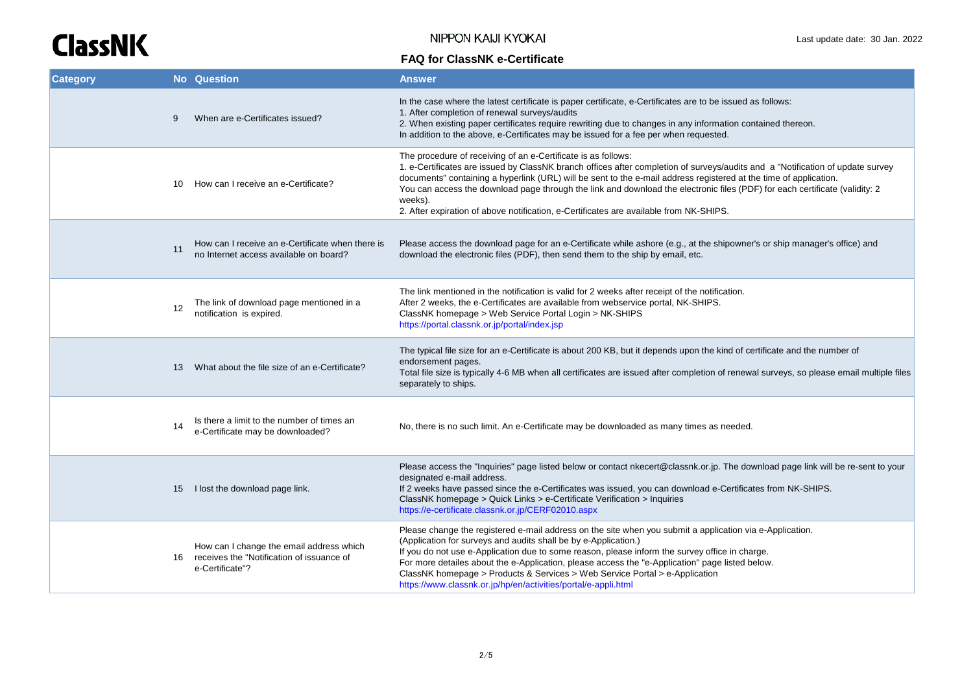NIPPON KAIJI KYOKAI

| <b>Category</b> |    | <b>No</b> Question                                                                                       | <b>Answer</b>                                                                                                                                                                                                                                                                                                                                                                                                                                                                                                                                            |
|-----------------|----|----------------------------------------------------------------------------------------------------------|----------------------------------------------------------------------------------------------------------------------------------------------------------------------------------------------------------------------------------------------------------------------------------------------------------------------------------------------------------------------------------------------------------------------------------------------------------------------------------------------------------------------------------------------------------|
|                 | 9  | When are e-Certificates issued?                                                                          | In the case where the latest certificate is paper certificate, e-Certificates are to be issued as follows:<br>1. After completion of renewal surveys/audits<br>2. When existing paper certificates require rewriting due to changes in any information contained thereon.<br>In addition to the above, e-Certificates may be issued for a fee per when requested.                                                                                                                                                                                        |
|                 | 10 | How can I receive an e-Certificate?                                                                      | The procedure of receiving of an e-Certificate is as follows:<br>1. e-Certificates are issued by ClassNK branch offices after completion of surveys/audits and a "Notification of update survey<br>documents" containing a hyperlink (URL) will be sent to the e-mail address registered at the time of application.<br>You can access the download page through the link and download the electronic files (PDF) for each certificate (validity: 2<br>weeks).<br>2. After expiration of above notification, e-Certificates are available from NK-SHIPS. |
|                 | 11 | How can I receive an e-Certificate when there is<br>no Internet access available on board?               | Please access the download page for an e-Certificate while ashore (e.g., at the shipowner's or ship manager's office) and<br>download the electronic files (PDF), then send them to the ship by email, etc.                                                                                                                                                                                                                                                                                                                                              |
|                 | 12 | The link of download page mentioned in a<br>notification is expired.                                     | The link mentioned in the notification is valid for 2 weeks after receipt of the notification.<br>After 2 weeks, the e-Certificates are available from webservice portal, NK-SHIPS.<br>ClassNK homepage > Web Service Portal Login > NK-SHIPS<br>https://portal.classnk.or.jp/portal/index.jsp                                                                                                                                                                                                                                                           |
|                 | 13 | What about the file size of an e-Certificate?                                                            | The typical file size for an e-Certificate is about 200 KB, but it depends upon the kind of certificate and the number of<br>endorsement pages.<br>Total file size is typically 4-6 MB when all certificates are issued after completion of renewal surveys, so please email multiple files<br>separately to ships.                                                                                                                                                                                                                                      |
|                 | 14 | Is there a limit to the number of times an<br>e-Certificate may be downloaded?                           | No, there is no such limit. An e-Certificate may be downloaded as many times as needed.                                                                                                                                                                                                                                                                                                                                                                                                                                                                  |
|                 |    | 15 I lost the download page link.                                                                        | Please access the "Inquiries" page listed below or contact nkecert@classnk.or.jp. The download page link will be re-sent to your<br>designated e-mail address.<br>If 2 weeks have passed since the e-Certificates was issued, you can download e-Certificates from NK-SHIPS.<br>ClassNK homepage > Quick Links > e-Certificate Verification > Inquiries<br>https://e-certificate.classnk.or.jp/CERF02010.aspx                                                                                                                                            |
|                 | 16 | How can I change the email address which<br>receives the "Notification of issuance of<br>e-Certificate"? | Please change the registered e-mail address on the site when you submit a application via e-Application.<br>(Application for surveys and audits shall be by e-Application.)<br>If you do not use e-Application due to some reason, please inform the survey office in charge.<br>For more detailes about the e-Application, please access the "e-Application" page listed below.<br>ClassNK homepage > Products & Services > Web Service Portal > e-Application<br>https://www.classnk.or.jp/hp/en/activities/portal/e-appli.html                        |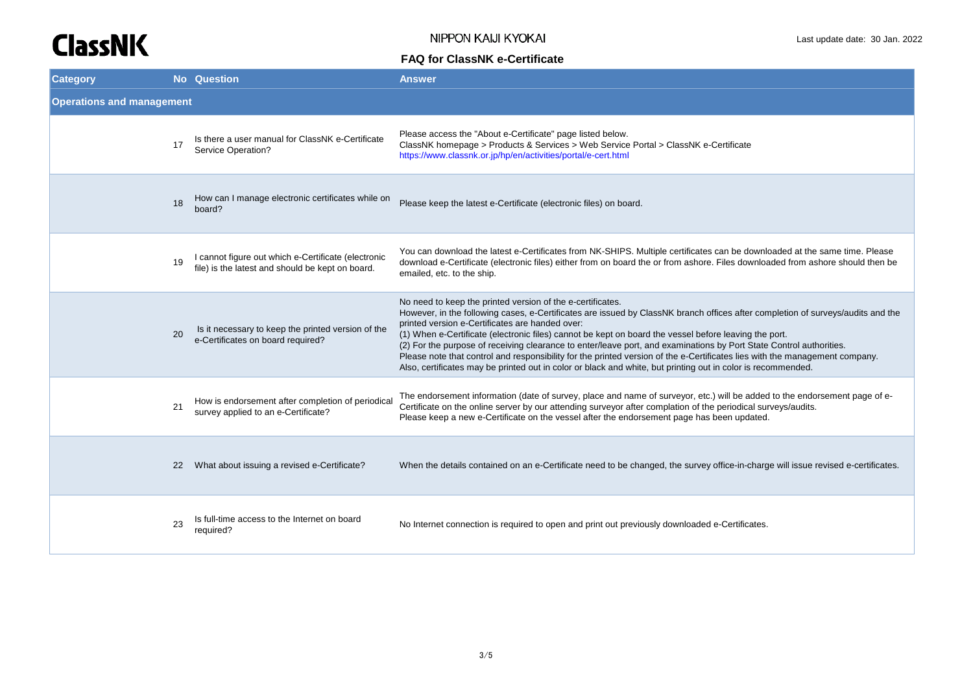| <b>Category</b>                  |    | <b>No</b> Question                                                                                      | <b>Answer</b>                                                                                                                                                                                                                                                                                                                                                                                                                                                                                                                                                                                                                                                                                                                   |
|----------------------------------|----|---------------------------------------------------------------------------------------------------------|---------------------------------------------------------------------------------------------------------------------------------------------------------------------------------------------------------------------------------------------------------------------------------------------------------------------------------------------------------------------------------------------------------------------------------------------------------------------------------------------------------------------------------------------------------------------------------------------------------------------------------------------------------------------------------------------------------------------------------|
| <b>Operations and management</b> |    |                                                                                                         |                                                                                                                                                                                                                                                                                                                                                                                                                                                                                                                                                                                                                                                                                                                                 |
|                                  | 17 | Is there a user manual for ClassNK e-Certificate<br>Service Operation?                                  | Please access the "About e-Certificate" page listed below.<br>ClassNK homepage > Products & Services > Web Service Portal > ClassNK e-Certificate<br>https://www.classnk.or.jp/hp/en/activities/portal/e-cert.html                                                                                                                                                                                                                                                                                                                                                                                                                                                                                                              |
|                                  | 18 | How can I manage electronic certificates while on<br>board?                                             | Please keep the latest e-Certificate (electronic files) on board.                                                                                                                                                                                                                                                                                                                                                                                                                                                                                                                                                                                                                                                               |
|                                  | 19 | I cannot figure out which e-Certificate (electronic<br>file) is the latest and should be kept on board. | You can download the latest e-Certificates from NK-SHIPS. Multiple certificates can be downloaded at the same time. Please<br>download e-Certificate (electronic files) either from on board the or from ashore. Files downloaded from ashore should then be<br>emailed, etc. to the ship.                                                                                                                                                                                                                                                                                                                                                                                                                                      |
|                                  | 20 | Is it necessary to keep the printed version of the<br>e-Certificates on board required?                 | No need to keep the printed version of the e-certificates.<br>However, in the following cases, e-Certificates are issued by ClassNK branch offices after completion of surveys/audits and the<br>printed version e-Certificates are handed over:<br>(1) When e-Certificate (electronic files) cannot be kept on board the vessel before leaving the port.<br>(2) For the purpose of receiving clearance to enter/leave port, and examinations by Port State Control authorities.<br>Please note that control and responsibility for the printed version of the e-Certificates lies with the management company.<br>Also, certificates may be printed out in color or black and white, but printing out in color is recommended. |
|                                  | 21 | How is endorsement after completion of periodical<br>survey applied to an e-Certificate?                | The endorsement information (date of survey, place and name of surveyor, etc.) will be added to the endorsement page of e-<br>Certificate on the online server by our attending surveyor after complation of the periodical surveys/audits.<br>Please keep a new e-Certificate on the vessel after the endorsement page has been updated.                                                                                                                                                                                                                                                                                                                                                                                       |
|                                  | 22 | What about issuing a revised e-Certificate?                                                             | When the details contained on an e-Certificate need to be changed, the survey office-in-charge will issue revised e-certificates.                                                                                                                                                                                                                                                                                                                                                                                                                                                                                                                                                                                               |
|                                  | 23 | Is full-time access to the Internet on board<br>required?                                               | No Internet connection is required to open and print out previously downloaded e-Certificates.                                                                                                                                                                                                                                                                                                                                                                                                                                                                                                                                                                                                                                  |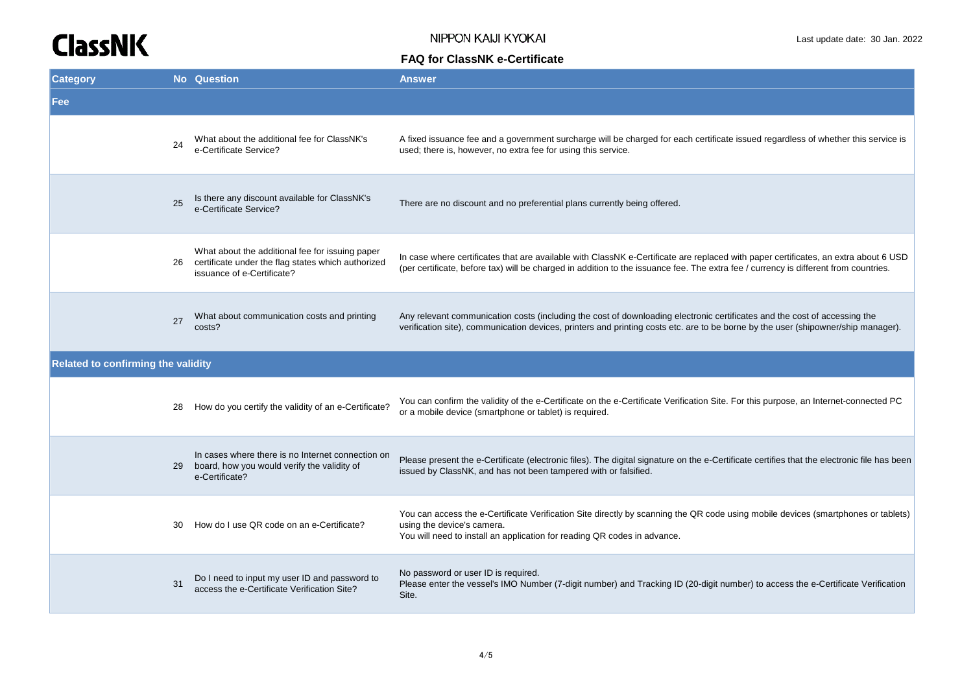| <b>Category</b>                    |    | <b>No</b> Question                                                                                                                  | <b>Answer</b>                                                                                                                                                                                                                                                               |
|------------------------------------|----|-------------------------------------------------------------------------------------------------------------------------------------|-----------------------------------------------------------------------------------------------------------------------------------------------------------------------------------------------------------------------------------------------------------------------------|
| Fee                                |    |                                                                                                                                     |                                                                                                                                                                                                                                                                             |
|                                    | 24 | What about the additional fee for ClassNK's<br>e-Certificate Service?                                                               | A fixed issuance fee and a government surcharge will be charged for each certificate issued regardless of whether this service is<br>used; there is, however, no extra fee for using this service.                                                                          |
|                                    | 25 | Is there any discount available for ClassNK's<br>e-Certificate Service?                                                             | There are no discount and no preferential plans currently being offered.                                                                                                                                                                                                    |
|                                    | 26 | What about the additional fee for issuing paper<br>certificate under the flag states which authorized<br>issuance of e-Certificate? | In case where certificates that are available with ClassNK e-Certificate are replaced with paper certificates, an extra about 6 USD<br>(per certificate, before tax) will be charged in addition to the issuance fee. The extra fee / currency is different from countries. |
|                                    | 27 | What about communication costs and printing<br>costs?                                                                               | Any relevant communication costs (including the cost of downloading electronic certificates and the cost of accessing the<br>verification site), communication devices, printers and printing costs etc. are to be borne by the user (shipowner/ship manager).              |
| Related to confirming the validity |    |                                                                                                                                     |                                                                                                                                                                                                                                                                             |
|                                    | 28 | How do you certify the validity of an e-Certificate?                                                                                | You can confirm the validity of the e-Certificate on the e-Certificate Verification Site. For this purpose, an Internet-connected PC<br>or a mobile device (smartphone or tablet) is required.                                                                              |
|                                    | 29 | In cases where there is no Internet connection on<br>board, how you would verify the validity of<br>e-Certificate?                  | Please present the e-Certificate (electronic files). The digital signature on the e-Certificate certifies that the electronic file has been<br>issued by ClassNK, and has not been tampered with or falsified.                                                              |
|                                    | 30 | How do I use QR code on an e-Certificate?                                                                                           | You can access the e-Certificate Verification Site directly by scanning the QR code using mobile devices (smartphones or tablets)<br>using the device's camera.<br>You will need to install an application for reading QR codes in advance.                                 |
|                                    | 31 | Do I need to input my user ID and password to<br>access the e-Certificate Verification Site?                                        | No password or user ID is required.<br>Please enter the vessel's IMO Number (7-digit number) and Tracking ID (20-digit number) to access the e-Certificate Verification<br>Site.                                                                                            |